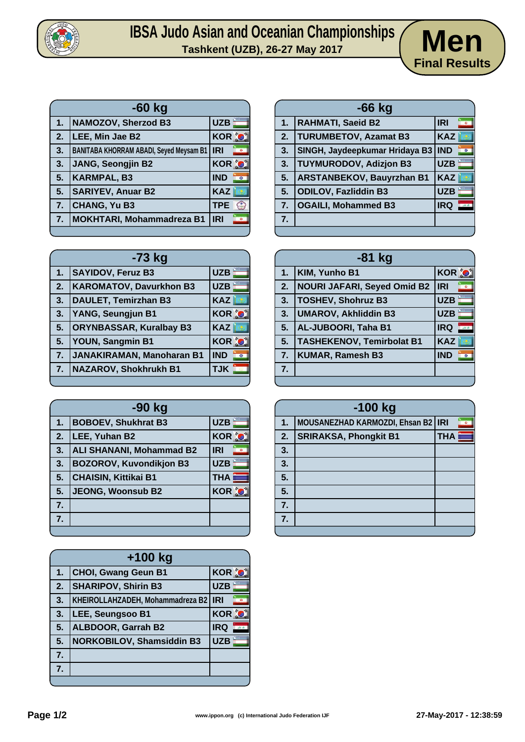

## **IBSA Judo Asian and Oceanian Championships Men**



| $-60$ kg |                                                |                             |
|----------|------------------------------------------------|-----------------------------|
| 1.       | <b>NAMOZOV, Sherzod B3</b>                     | <b>UZB</b>                  |
| 2.       | LEE, Min Jae B2                                | <b>KOR O</b>                |
| 3.       | <b>BANITABA KHORRAM ABADI, Seyed Meysam B1</b> | <b>IRI</b><br>$\circ$       |
| 3.       | <b>JANG, Seongjin B2</b>                       | <b>KOR O</b>                |
| 5.       | <b>KARMPAL, B3</b>                             | <b>IND</b><br>$\circ$       |
| 5.       | <b>SARIYEV, Anuar B2</b>                       | <b>KAZ</b>                  |
| 7.       | <b>CHANG, Yu B3</b>                            | <b>TPE</b><br>$\frac{1}{2}$ |
| 7.       | <b>MOKHTARI, Mohammadreza B1</b>               | <b>IRI</b><br>ö             |
|          |                                                |                             |

| -73 kg |                                |              |
|--------|--------------------------------|--------------|
| 1.     | <b>SAYIDOV, Feruz B3</b>       | <b>UZB</b>   |
| 2.     | <b>KAROMATOV, Davurkhon B3</b> | <b>UZB</b>   |
| 3.     | <b>DAULET, Temirzhan B3</b>    | <b>KAZ</b>   |
| 3.     | YANG, Seungjun B1              | KOR O        |
| 5.     | <b>ORYNBASSAR, Kuralbay B3</b> | <b>KAZ</b>   |
| 5.     | YOUN, Sangmin B1               | <b>KOR O</b> |
| 7.     | JANAKIRAMAN, Manoharan B1      | <b>IND</b>   |
| 7.     | <b>NAZAROV, Shokhrukh B1</b>   | <b>TJK</b>   |
|        |                                |              |

| -90 kg |                                 |                  |
|--------|---------------------------------|------------------|
| 1.     | <b>BOBOEV, Shukhrat B3</b>      | <b>UZB</b>       |
| 2.     | LEE, Yuhan B2                   | <b>KOR O</b>     |
| 3.     | <b>ALI SHANANI, Mohammad B2</b> | <b>IRI</b>       |
| 3.     | <b>BOZOROV, Kuvondikjon B3</b>  | <b>UZB</b>       |
| 5.     | <b>CHAISIN, Kittikai B1</b>     | <b>THA</b>       |
| 5.     | <b>JEONG, Woonsub B2</b>        | KOR <sup>%</sup> |
| 7.     |                                 |                  |
| 7.     |                                 |                  |
|        |                                 |                  |

| $+100$ kg        |                                  |              |
|------------------|----------------------------------|--------------|
| 1.               | <b>CHOI, Gwang Geun B1</b>       | KOR O        |
| $\overline{2}$ . | <b>SHARIPOV, Shirin B3</b>       | <b>UZB</b>   |
| 3.               | KHEIROLLAHZADEH, Mohammadreza B2 | <b>IRI</b>   |
| 3.               | LEE, Seungsoo B1                 | <b>KOR O</b> |
| 5.               | <b>ALBDOOR, Garrah B2</b>        | <b>IRQ</b>   |
| 5.               | <b>NORKOBILOV, Shamsiddin B3</b> | <b>UZB</b>   |
| 7.               |                                  |              |
| 7.               |                                  |              |
|                  |                                  |              |

| $-66$ kg |                                  |                                    |
|----------|----------------------------------|------------------------------------|
| 1.       | <b>RAHMATI, Saeid B2</b>         | <b>IRI</b>                         |
| 2.       | <b>TURUMBETOV, Azamat B3</b>     | <b>KAZ</b>                         |
| 3.       | SINGH, Jaydeepkumar Hridaya B3   | <b>IND</b><br>$\overline{\bullet}$ |
| 3.       | <b>TUYMURODOV, Adizjon B3</b>    | <b>UZB</b>                         |
| 5.       | <b>ARSTANBEKOV, Bauyrzhan B1</b> | <b>KAZ</b>                         |
| 5.       | <b>ODILOV, Fazliddin B3</b>      | <b>UZB</b>                         |
| 7.       | <b>OGAILI, Mohammed B3</b>       | <b>IRQ</b>                         |
| 7.       |                                  |                                    |
|          |                                  |                                    |

| -81 kg |                                    |                              |
|--------|------------------------------------|------------------------------|
| 1.     | KIM, Yunho B1                      | <b>KOR O</b>                 |
| 2.     | <b>NOURI JAFARI, Seyed Omid B2</b> | <b>IRI</b><br>$\blacksquare$ |
| 3.     | <b>TOSHEV, Shohruz B3</b>          | <b>UZB</b>                   |
| 3.     | <b>UMAROV, Akhliddin B3</b>        | <b>UZB</b>                   |
| 5.     | AL-JUBOORI, Taha B1                | <b>IRQ</b>                   |
| 5.     | <b>TASHEKENOV, Temirbolat B1</b>   | <b>KAZ</b>                   |
| 7.     | KUMAR, Ramesh B3                   | <b>IND</b><br>$\circ$        |
| 7.     |                                    |                              |
|        |                                    |                              |

| $-100$ kg |                                      |            |   |
|-----------|--------------------------------------|------------|---|
| 1.        | MOUSANEZHAD KARMOZDI, Ehsan B2   IRI |            | ø |
| 2.        | <b>SRIRAKSA, Phongkit B1</b>         | <b>THA</b> |   |
| 3.        |                                      |            |   |
| 3.        |                                      |            |   |
| 5.        |                                      |            |   |
| 5.        |                                      |            |   |
| 7.        |                                      |            |   |
| 7.        |                                      |            |   |
|           |                                      |            |   |